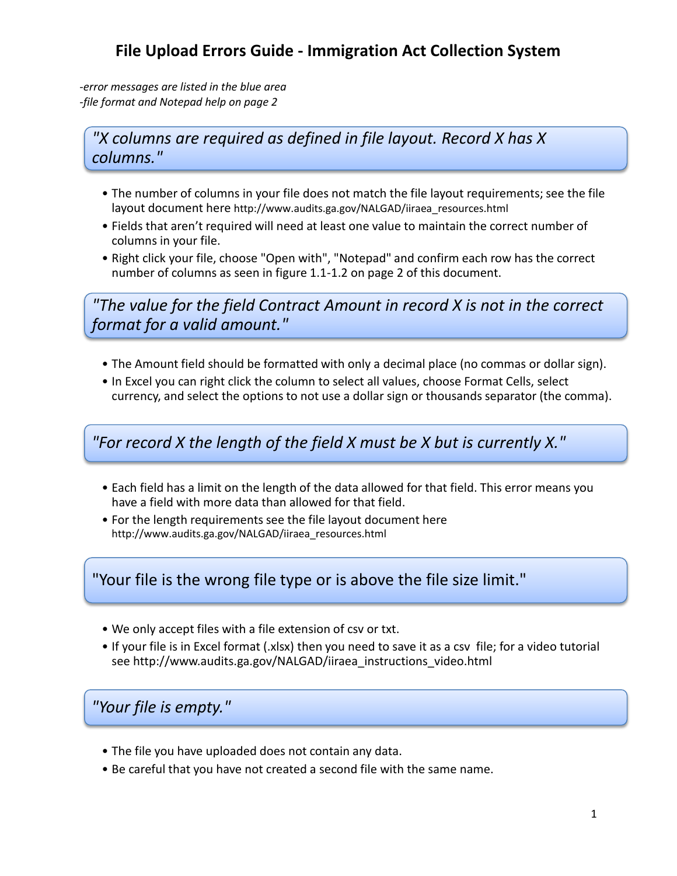## **File Upload Errors Guide - Immigration Act Collection System**

*-error messages are listed in the blue area -file format and Notepad help on page 2*

*"X columns are required as defined in file layout. Record X has X columns."*

- The number of columns in your file does not match the file layout requirements; see the file layout document here http://www.audits.ga.gov/NALGAD/iiraea\_resources.html
- Fields that aren't required will need at least one value to maintain the correct number of columns in your file.
- Right click your file, choose "Open with", "Notepad" and confirm each row has the correct number of columns as seen in figure 1.1-1.2 on page 2 of this document.

*"The value for the field Contract Amount in record X is not in the correct format for a valid amount."*

- The Amount field should be formatted with only a decimal place (no commas or dollar sign).
- In Excel you can right click the column to select all values, choose Format Cells, select currency, and select the options to not use a dollar sign or thousands separator (the comma).

*"For record X the length of the field X must be X but is currently X."*

- Each field has a limit on the length of the data allowed for that field. This error means you have a field with more data than allowed for that field.
- For the length requirements see the file layout document here http://www.audits.ga.gov/NALGAD/iiraea\_resources.html

"Your file is the wrong file type or is above the file size limit."

- We only accept files with a file extension of csv or txt.
- [If your file is in Excel format \(.xlsx\) then you need to save it as a csv file; for a video tutorial](http://www.audits.ga.gov/NALGAD/iiraea_instructions_video.html)  see http://www.audits.ga.gov/NALGAD/iiraea\_instructions\_video.html

*"Your file is empty."*

- The file you have uploaded does not contain any data.
- Be careful that you have not created a second file with the same name.